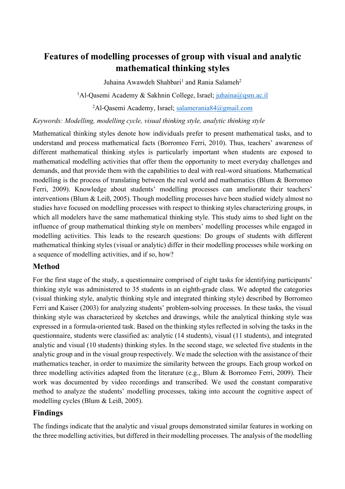# **Features of modelling processes of group with visual and analytic mathematical thinking styles**

Juhaina Awawdeh Shahbari<sup>1</sup> and Rania Salameh<sup>2</sup>

<sup>1</sup>Al-Qasemi Academy & Sakhnin College, Israel; juhaina@qsm.ac.il

<sup>2</sup>Al-Qasemi Academy, Israel; salamerania84@gmail.com

*Keywords: Modelling, modelling cycle, visual thinking style, analytic thinking style*

Mathematical thinking styles denote how individuals prefer to present mathematical tasks, and to understand and process mathematical facts (Borromeo Ferri, 2010). Thus, teachers' awareness of different mathematical thinking styles is particularly important when students are exposed to mathematical modelling activities that offer them the opportunity to meet everyday challenges and demands, and that provide them with the capabilities to deal with real-word situations. Mathematical modelling is the process of translating between the real world and mathematics (Blum & Borromeo Ferri, 2009). Knowledge about students' modelling processes can ameliorate their teachers' interventions (Blum & Leiß, 2005). Though modelling processes have been studied widely almost no studies have focused on modelling processes with respect to thinking styles characterizing groups, in which all modelers have the same mathematical thinking style. This study aims to shed light on the influence of group mathematical thinking style on members' modelling processes while engaged in modelling activities. This leads to the research questions: Do groups of students with different mathematical thinking styles (visual or analytic) differ in their modelling processes while working on a sequence of modelling activities, and if so, how?

### **Method**

For the first stage of the study, a questionnaire comprised of eight tasks for identifying participants' thinking style was administered to 35 students in an eighth-grade class. We adopted the categories (visual thinking style, analytic thinking style and integrated thinking style) described by Borromeo Ferri and Kaiser (2003) for analyzing students' problem-solving processes. In these tasks, the visual thinking style was characterized by sketches and drawings, while the analytical thinking style was expressed in a formula-oriented task. Based on the thinking styles reflected in solving the tasks in the questionnaire, students were classified as: analytic (14 students), visual (11 students), and integrated analytic and visual (10 students) thinking styles. In the second stage, we selected five students in the analytic group and in the visual group respectively. We made the selection with the assistance of their mathematics teacher, in order to maximize the similarity between the groups. Each group worked on three modelling activities adapted from the literature (e.g., Blum & Borromeo Ferri, 2009). Their work was documented by video recordings and transcribed. We used the constant comparative method to analyze the students' modelling processes, taking into account the cognitive aspect of modelling cycles (Blum & Leiß, 2005).

### **Findings**

The findings indicate that the analytic and visual groups demonstrated similar features in working on the three modelling activities, but differed in their modelling processes. The analysis of the modelling